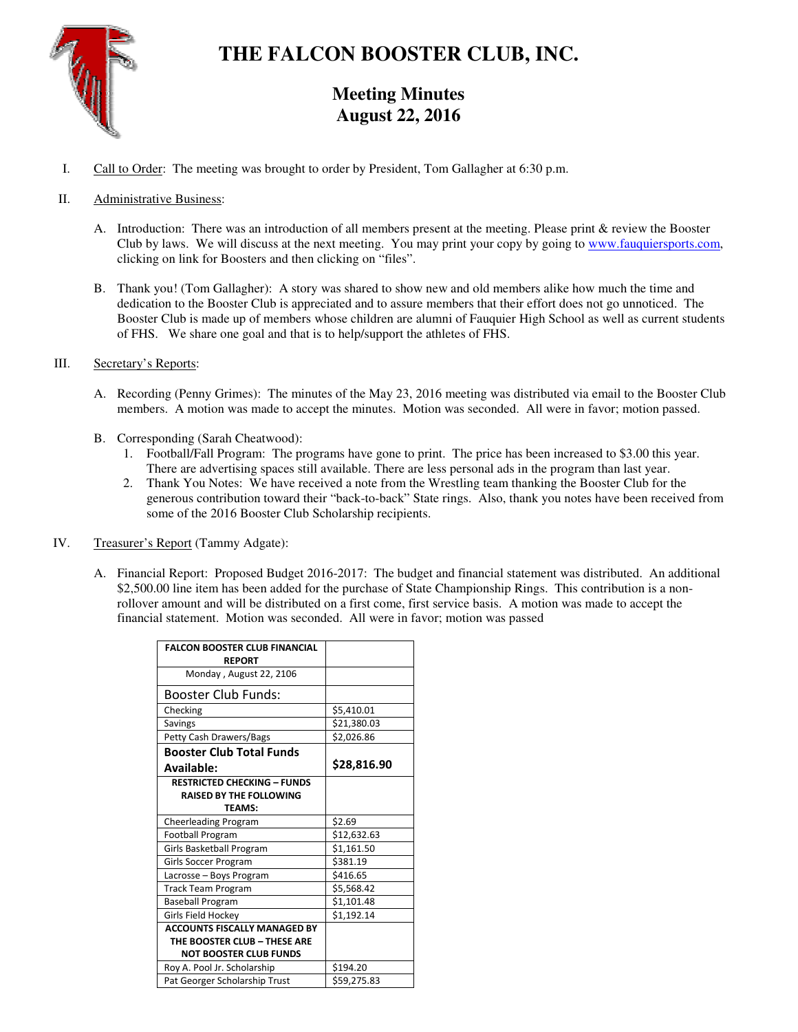

# **THE FALCON BOOSTER CLUB, INC.**

## **Meeting Minutes August 22, 2016**

I. Call to Order: The meeting was brought to order by President, Tom Gallagher at 6:30 p.m.

### II. Administrative Business:

- A. Introduction: There was an introduction of all members present at the meeting. Please print & review the Booster Club by laws. We will discuss at the next meeting. You may print your copy by going to www.fauquiersports.com, clicking on link for Boosters and then clicking on "files".
- B. Thank you! (Tom Gallagher): A story was shared to show new and old members alike how much the time and dedication to the Booster Club is appreciated and to assure members that their effort does not go unnoticed. The Booster Club is made up of members whose children are alumni of Fauquier High School as well as current students of FHS. We share one goal and that is to help/support the athletes of FHS.

#### III. Secretary's Reports:

- A. Recording (Penny Grimes): The minutes of the May 23, 2016 meeting was distributed via email to the Booster Club members. A motion was made to accept the minutes. Motion was seconded. All were in favor; motion passed.
- B. Corresponding (Sarah Cheatwood):
	- 1. Football/Fall Program: The programs have gone to print. The price has been increased to \$3.00 this year. There are advertising spaces still available. There are less personal ads in the program than last year.
	- 2. Thank You Notes: We have received a note from the Wrestling team thanking the Booster Club for the generous contribution toward their "back-to-back" State rings. Also, thank you notes have been received from some of the 2016 Booster Club Scholarship recipients.
- IV. Treasurer's Report (Tammy Adgate):
	- A. Financial Report: Proposed Budget 2016-2017: The budget and financial statement was distributed. An additional \$2,500.00 line item has been added for the purchase of State Championship Rings. This contribution is a nonrollover amount and will be distributed on a first come, first service basis. A motion was made to accept the financial statement. Motion was seconded. All were in favor; motion was passed

| <b>FALCON BOOSTER CLUB FINANCIAL</b><br><b>REPORT</b> |             |
|-------------------------------------------------------|-------------|
| Monday, August 22, 2106                               |             |
|                                                       |             |
| Booster Club Funds:                                   |             |
| Checking                                              | \$5,410.01  |
| Savings                                               | \$21,380.03 |
| Petty Cash Drawers/Bags                               | \$2,026.86  |
| <b>Booster Club Total Funds</b>                       |             |
| Available:                                            | \$28,816.90 |
| <b>RESTRICTED CHECKING - FUNDS</b>                    |             |
| <b>RAISED BY THE FOLLOWING</b>                        |             |
| <b>TEAMS:</b>                                         |             |
| Cheerleading Program                                  | \$2.69      |
| Football Program                                      | \$12,632.63 |
| Girls Basketball Program                              | \$1,161.50  |
| Girls Soccer Program                                  | \$381.19    |
| Lacrosse - Boys Program                               | \$416.65    |
| <b>Track Team Program</b>                             | \$5,568.42  |
| <b>Baseball Program</b>                               | \$1,101.48  |
| Girls Field Hockey                                    | \$1,192.14  |
| <b>ACCOUNTS FISCALLY MANAGED BY</b>                   |             |
| THE BOOSTER CLUB - THESE ARE                          |             |
| <b>NOT BOOSTER CLUB FUNDS</b>                         |             |
| Roy A. Pool Jr. Scholarship                           | \$194.20    |
| Pat Georger Scholarship Trust                         | \$59,275.83 |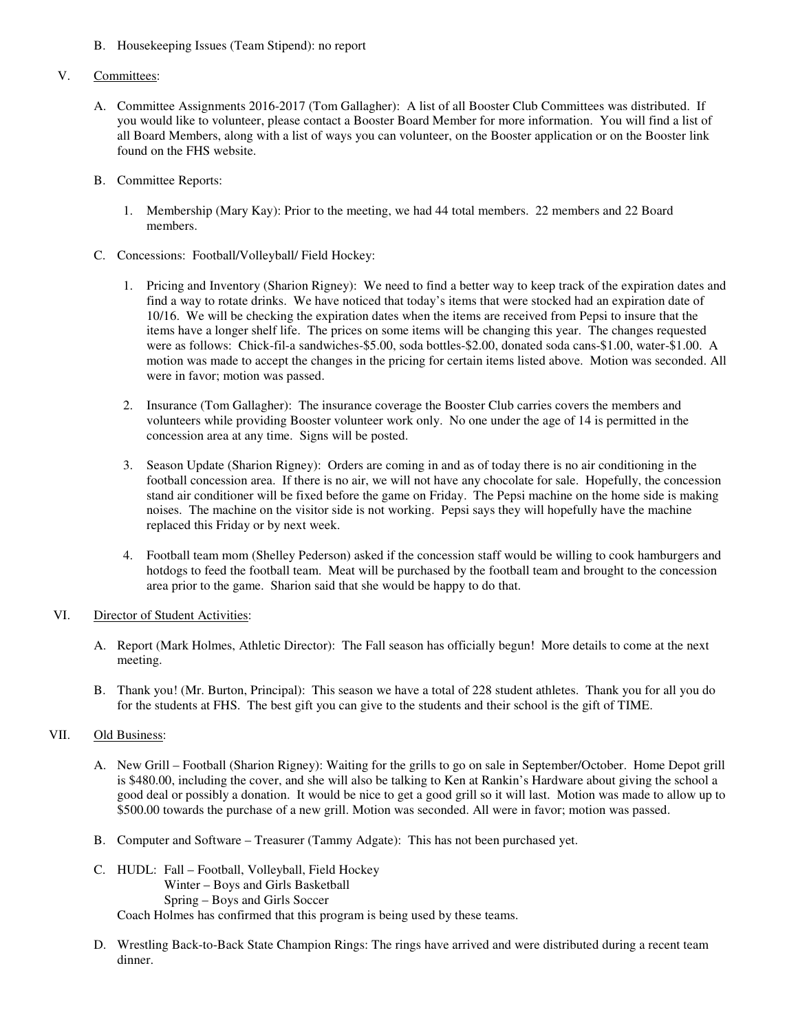B. Housekeeping Issues (Team Stipend): no report

#### V. Committees:

- A. Committee Assignments 2016-2017 (Tom Gallagher): A list of all Booster Club Committees was distributed. If you would like to volunteer, please contact a Booster Board Member for more information. You will find a list of all Board Members, along with a list of ways you can volunteer, on the Booster application or on the Booster link found on the FHS website.
- B. Committee Reports:
	- 1. Membership (Mary Kay): Prior to the meeting, we had 44 total members. 22 members and 22 Board members.
- C. Concessions: Football/Volleyball/ Field Hockey:
	- 1. Pricing and Inventory (Sharion Rigney): We need to find a better way to keep track of the expiration dates and find a way to rotate drinks. We have noticed that today's items that were stocked had an expiration date of 10/16. We will be checking the expiration dates when the items are received from Pepsi to insure that the items have a longer shelf life. The prices on some items will be changing this year. The changes requested were as follows: Chick-fil-a sandwiches-\$5.00, soda bottles-\$2.00, donated soda cans-\$1.00, water-\$1.00. A motion was made to accept the changes in the pricing for certain items listed above. Motion was seconded. All were in favor; motion was passed.
	- 2. Insurance (Tom Gallagher): The insurance coverage the Booster Club carries covers the members and volunteers while providing Booster volunteer work only. No one under the age of 14 is permitted in the concession area at any time. Signs will be posted.
	- 3. Season Update (Sharion Rigney): Orders are coming in and as of today there is no air conditioning in the football concession area. If there is no air, we will not have any chocolate for sale. Hopefully, the concession stand air conditioner will be fixed before the game on Friday. The Pepsi machine on the home side is making noises. The machine on the visitor side is not working. Pepsi says they will hopefully have the machine replaced this Friday or by next week.
	- 4. Football team mom (Shelley Pederson) asked if the concession staff would be willing to cook hamburgers and hotdogs to feed the football team. Meat will be purchased by the football team and brought to the concession area prior to the game. Sharion said that she would be happy to do that.

#### VI. Director of Student Activities:

- A. Report (Mark Holmes, Athletic Director): The Fall season has officially begun! More details to come at the next meeting.
- B. Thank you! (Mr. Burton, Principal): This season we have a total of 228 student athletes. Thank you for all you do for the students at FHS. The best gift you can give to the students and their school is the gift of TIME.

#### VII. Old Business:

- A. New Grill Football (Sharion Rigney): Waiting for the grills to go on sale in September/October. Home Depot grill is \$480.00, including the cover, and she will also be talking to Ken at Rankin's Hardware about giving the school a good deal or possibly a donation. It would be nice to get a good grill so it will last. Motion was made to allow up to \$500.00 towards the purchase of a new grill. Motion was seconded. All were in favor; motion was passed.
- B. Computer and Software Treasurer (Tammy Adgate): This has not been purchased yet.
- C. HUDL: Fall Football, Volleyball, Field Hockey Winter – Boys and Girls Basketball Spring – Boys and Girls Soccer Coach Holmes has confirmed that this program is being used by these teams.
- D. Wrestling Back-to-Back State Champion Rings: The rings have arrived and were distributed during a recent team dinner.